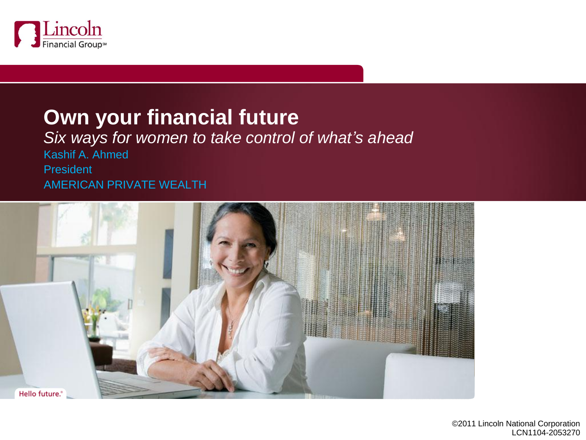

#### **Own your financial future**

Kashif A. Ahmed President AMERICAN PRIVATE WEALTH *Six ways for women to take control of what's ahead*



©2011 Lincoln National Corporation LCN1104-2053270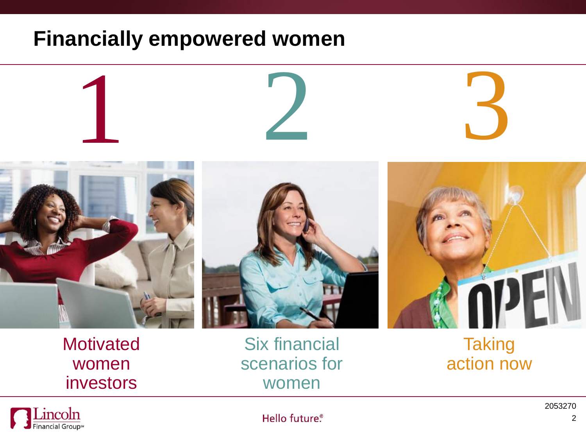#### **Financially empowered women**







**Motivated** women investors

Six financial scenarios for women

**Taking** action now



Hello future.<sup>®</sup>

2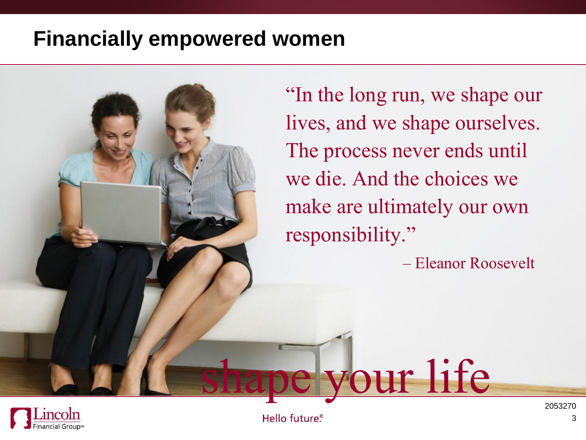#### **Financially empowered women**



"In the long run, we shape our lives, and we shape ourselves. The process never ends until we die. And the choices we make are ultimately our own responsibility."

e your life

– Eleanor Roosevelt

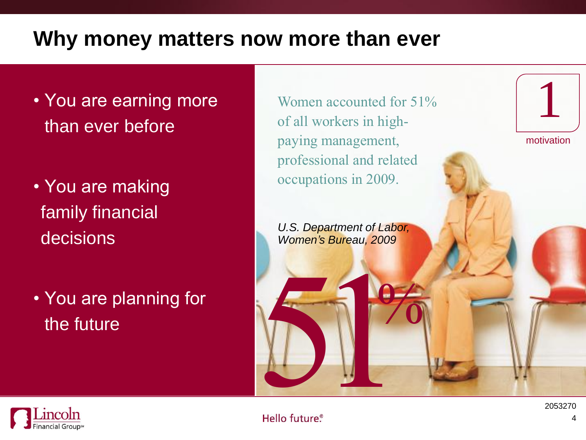#### **Why money matters now more than ever**

- You are earning more than ever before
- You are making family financial decisions
- You are planning for the future

Women accounted for 51% of all workers in highpaying management, professional and related occupations in 2009.

*U.S. Department of Labor, Women's Bureau, 2009*

 $\frac{1}{\sqrt{2}}$ 



5 1 1

motivation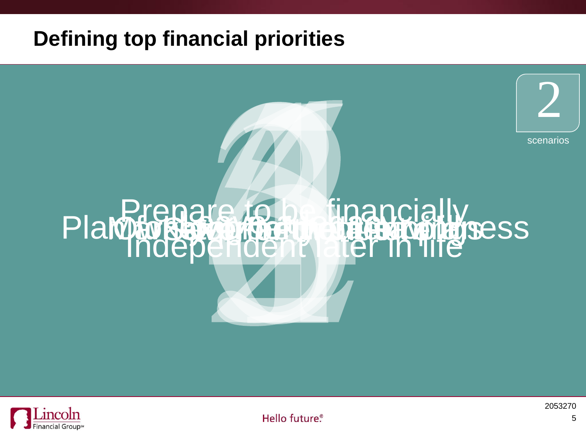#### **Defining top financial priorities**



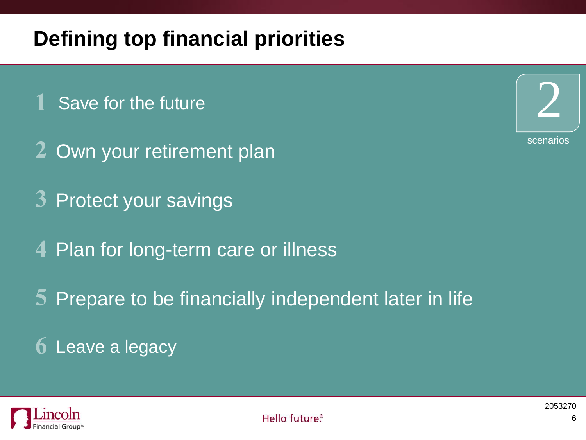# **Defining top financial priorities**

Save for the future

- 2 Own your retirement plan
- 3 Protect your savings
- Plan for long-term care or illness 4

5 Prepare to be financially independent later in life

**6** Leave a legacy





2053270

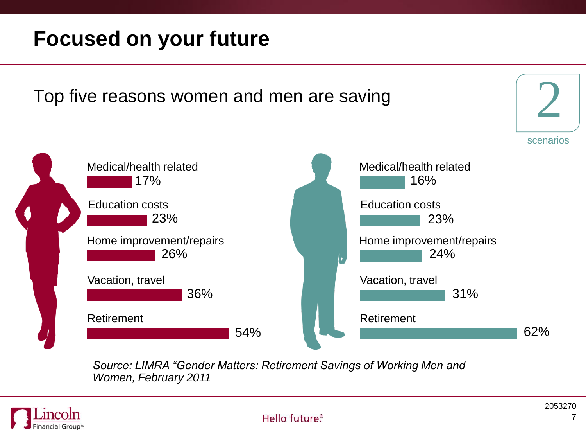#### Top five reasons women and men are saving 17% Medical/health related 23% Education costs 26% Home improvement/repairs 36% Vacation, travel 54% Retirement 16% Medical/health related 23% Education costs 24% Home improvement/repairs 31% Vacation, travel 62% Retirement 2 scenarios

**Focused on your future**

*Source: LIMRA "Gender Matters: Retirement Savings of Working Men and Women, February 2011*

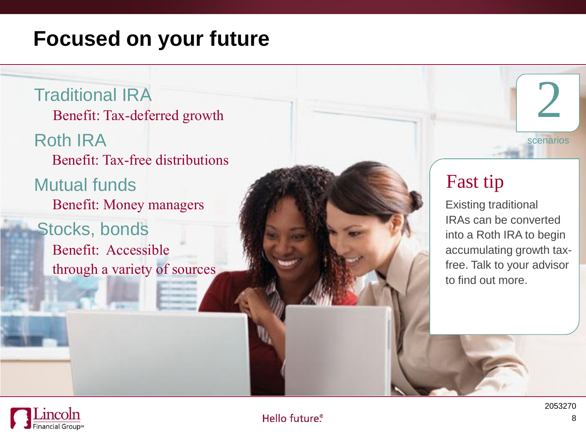#### **Focused on your future**

Benefit: Tax-deferred growth Benefit: Tax-free distributions Benefit: Money managers Benefit: Accessible through a variety of sources Traditional IRA Roth IRA Mutual funds Stocks, bonds

scenarios

2

#### Fast tip

Existing traditional IRAs can be converted into a Roth IRA to begin accumulating growth taxfree. Talk to your advisor to find out more.



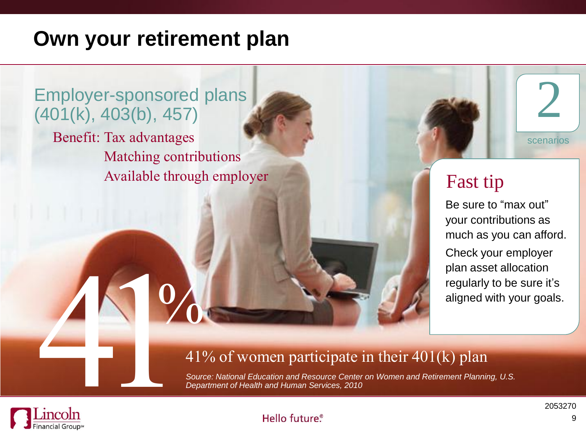#### **Own your retirement plan**

#### Employer-sponsored plans (401(k), 403(b), 457)

Benefit: Tax advantages Matching contributions Available through employer

%

1



#### Fast tip

Be sure to "max out" your contributions as much as you can afford. Check your employer plan asset allocation regularly to be sure it's aligned with your goals.

#### 41% of women participate in their 401(k) plan

*Source: National Education and Resource Center on Women and Retirement Planning, U.S. Department of Health and Human Services, 2010* 

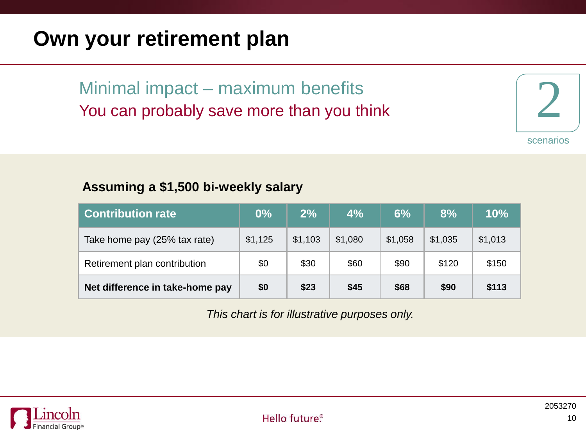

2

scenarios

### **Own your retirement plan**

Minimal impact – maximum benefits You can probably save more than you think

#### **Assuming a \$1,500 bi-weekly salary**

| <b>Contribution rate</b>        | $0\%$   | $2\%$   | 4%      | 6%      | 8%      | 10%     |
|---------------------------------|---------|---------|---------|---------|---------|---------|
| Take home pay (25% tax rate)    | \$1,125 | \$1,103 | \$1,080 | \$1,058 | \$1,035 | \$1,013 |
| Retirement plan contribution    | \$0     | \$30    | \$60    | \$90    | \$120   | \$150   |
| Net difference in take-home pay | \$0     | \$23    | \$45    | \$68    | \$90    | \$113   |

*This chart is for illustrative purposes only.*

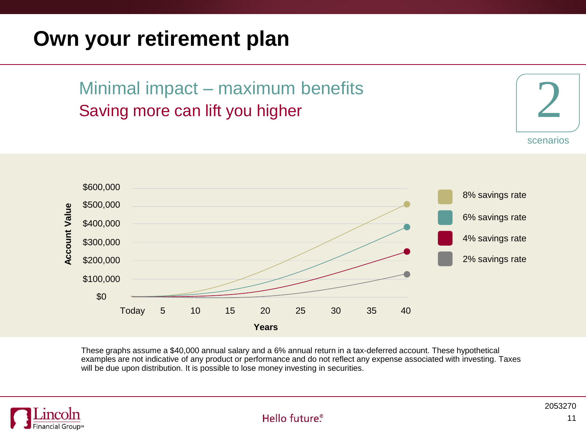



Hello future.<sup>®</sup>

### **Own your retirement plan**

Minimal impact – maximum benefits Saving more can lift you higher



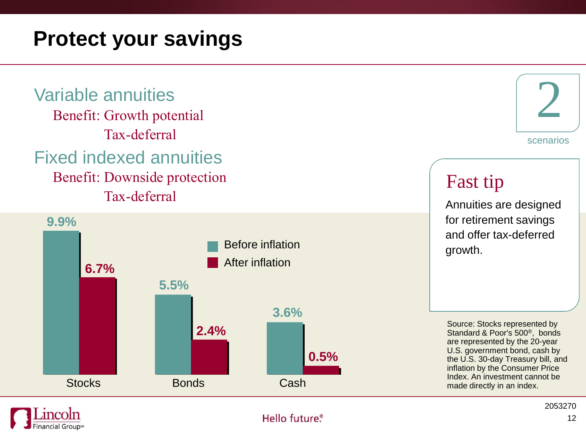#### **Protect your savings**

Benefit: Growth potential Tax-deferral Variable annuities Fixed indexed annuities Benefit: Downside protection Fast tip Tax-deferral



2 scenarios

Annuities are designed for retirement savings and offer tax-deferred growth.

Source: Stocks represented by Standard & Poor's 500®, bonds are represented by the 20-year U.S. government bond, cash by the U.S. 30-day Treasury bill, and inflation by the Consumer Price Index. An investment cannot be made directly in an index.

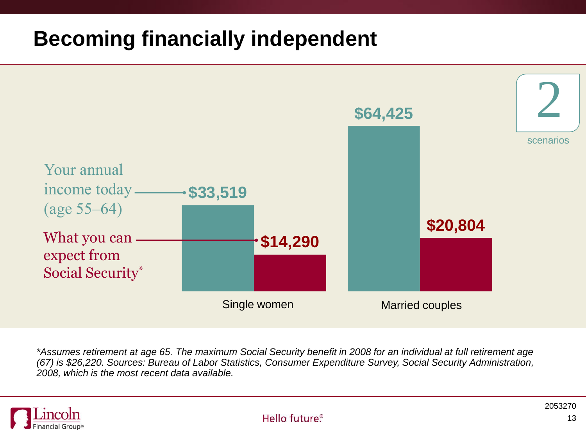### **Becoming financially independent**



*\*Assumes retirement at age 65. The maximum Social Security benefit in 2008 for an individual at full retirement age (67) is \$26,220. Sources: Bureau of Labor Statistics, Consumer Expenditure Survey, Social Security Administration, 2008, which is the most recent data available.*

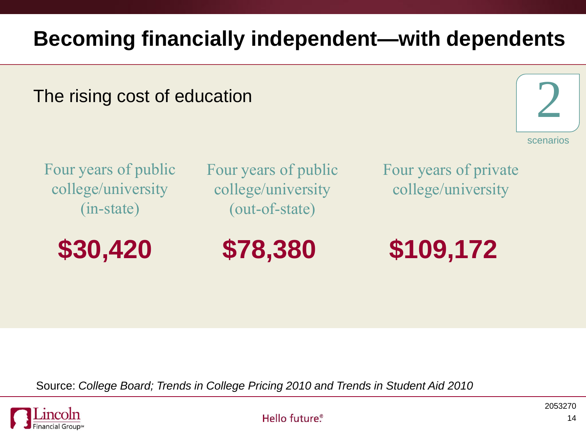# **Becoming financially independent—with dependents**

The rising cost of education



Four years of public college/university (in-state)

Four years of public college/university (out-of-state)

Four years of private college/university

**\$30,420 \$78,380 \$109,172**

Source: *College Board; Trends in College Pricing 2010 and Trends in Student Aid 2010*



Hello future®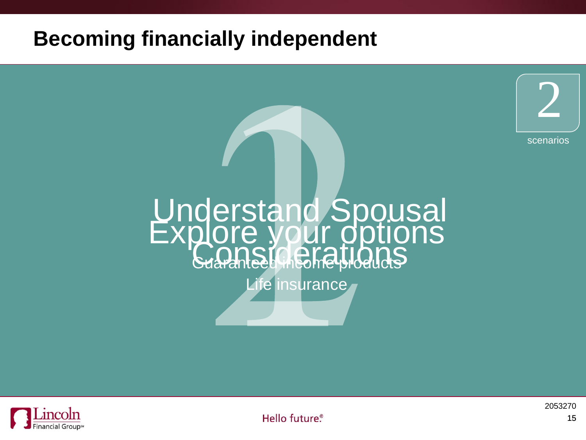#### **Becoming financially independent**



#### Explore your options Guaranteed income products Life insurance Understand Spousal Grahal Constitutions

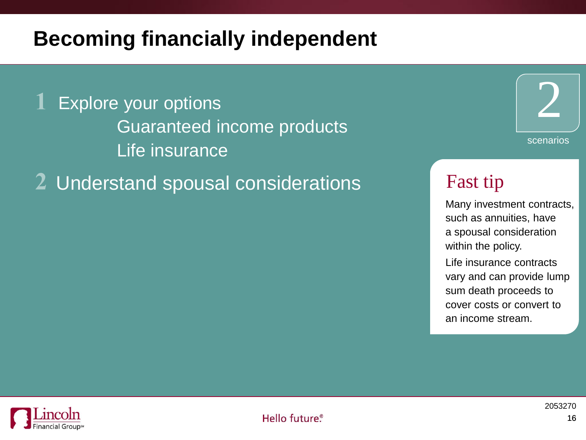#### **Becoming financially independent**

Explore your options Guaranteed income products Life insurance

2 Understand spousal considerations



#### Fast tip

Many investment contracts, such as annuities, have a spousal consideration within the policy. Life insurance contracts vary and can provide lump

sum death proceeds to cover costs or convert to an income stream.

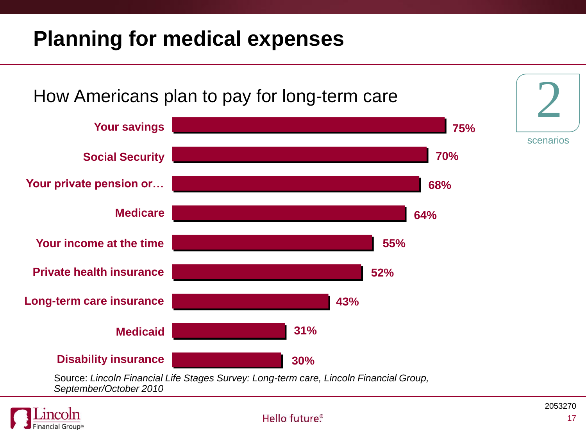# **Planning for medical expenses**

#### How Americans plan to pay for long-term care



Hello future®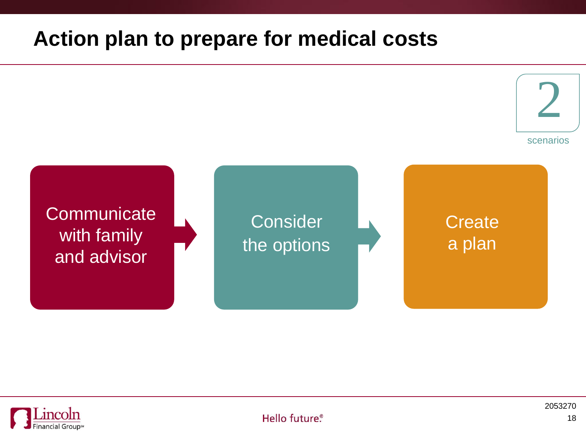#### **Action plan to prepare for medical costs**



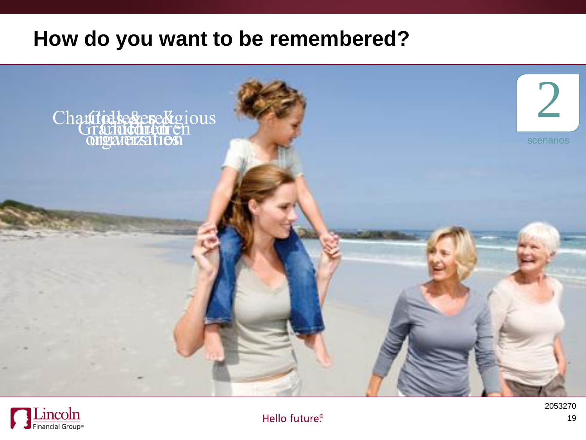#### **How do you want to be remembered?**



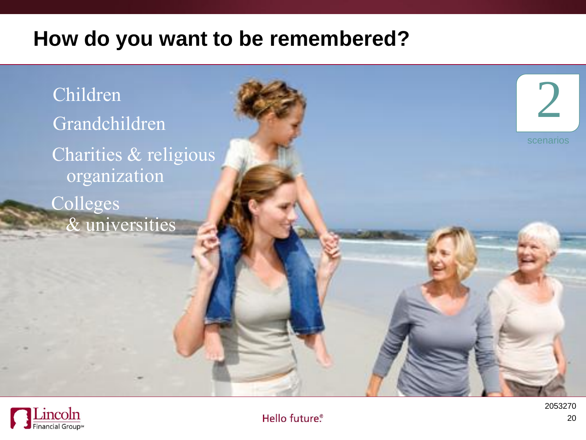#### **How do you want to be remembered?**

Children Grandchildren Charities & religious organization Colleges & universities



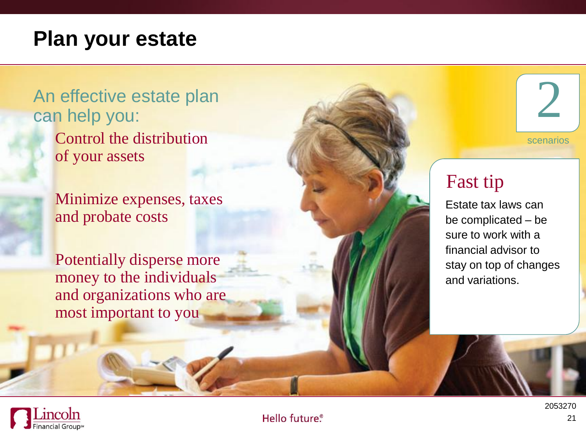#### **Plan your estate**

An effective estate plan can help you: Control the distribution of your assets

> Minimize expenses, taxes and probate costs

Potentially disperse more money to the individuals and organizations who are most important to you

2 scenarios

#### Fast tip

Estate tax laws can be complicated – be sure to work with a financial advisor to stay on top of changes and variations.



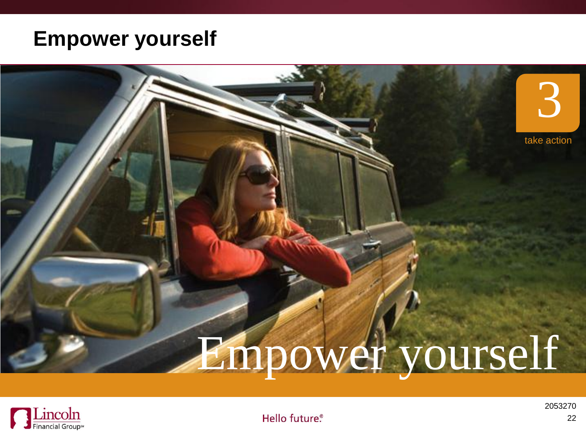#### **Empower yourself**

# Empower yourself



Hello future.<sup>®</sup>

3

take action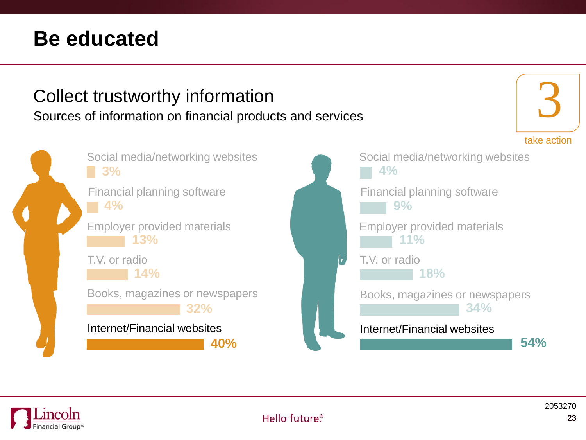#### **Be educated**

#### Collect trustworthy information Sources of information on financial products and services



**3%** Social media/networking websites **4%** Financial planning software **13%** Employer provided materials **14%** T.V. or radio **32%** Books, magazines or newspapers **40%** Internet/Financial websites



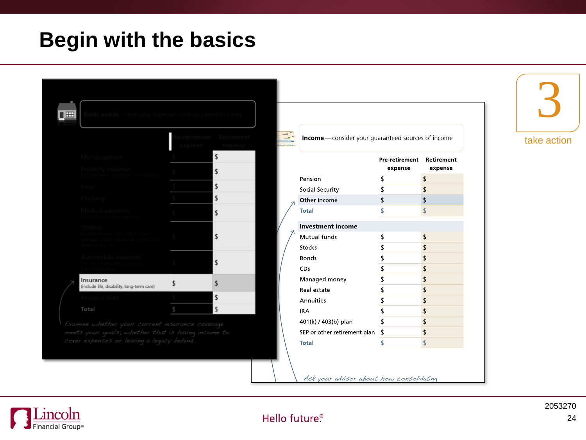#### **Begin with the basics**

|                                                                                                    |   | e-retirement Retirement<br>expense expense |
|----------------------------------------------------------------------------------------------------|---|--------------------------------------------|
| Mortgage/rent                                                                                      |   | s                                          |
| Property expenses                                                                                  |   | S                                          |
| Food                                                                                               |   | s                                          |
| Clothing                                                                                           |   | \$                                         |
| Medical expenses<br>member any prescriptions!                                                      |   | s                                          |
| <b>Utilities</b><br>finclude electric, gas, water, sewer<br>aarbage, cable, telephone, cell phone, |   |                                            |
| Automobile expenses<br>finclude car payment, insurance                                             |   |                                            |
| Insurance<br>(include life, disability, long-term care)                                            | s | s                                          |
| ersonal debt                                                                                       |   | \$                                         |
| Total                                                                                              |   | s                                          |

|                              | Pre-retirement<br>expense | <b>Retirement</b><br>expense |
|------------------------------|---------------------------|------------------------------|
| Pension                      | \$                        | \$                           |
| Social Security              | \$                        | \$                           |
| Other income                 | \$                        | \$                           |
| <b>Total</b>                 | \$                        | \$                           |
| <b>Investment income</b>     |                           |                              |
| Mutual funds                 | \$                        | \$                           |
| <b>Stocks</b>                | \$                        | \$                           |
| <b>Bonds</b>                 | \$                        | \$                           |
| CDs                          | \$                        | \$                           |
| Managed money                | \$                        | \$                           |
| Real estate                  | \$                        | \$                           |
| Annuities                    | \$                        | \$                           |
| <b>IRA</b>                   | \$                        | \$                           |
| 401(k) / 403(b) plan         | \$                        | \$                           |
| SEP or other retirement plan | \$                        | \$                           |
| <b>Total</b>                 | \$                        | \$                           |



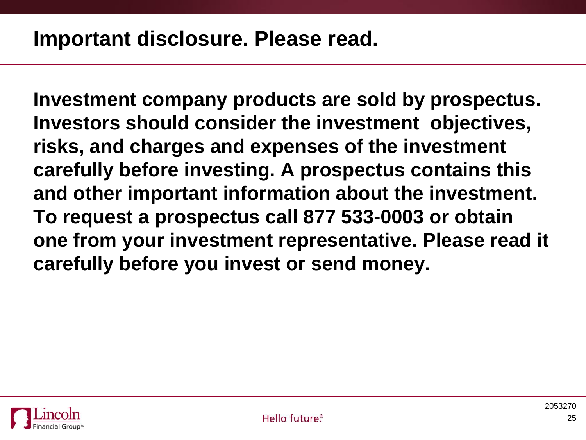**Investment company products are sold by prospectus. Investors should consider the investment objectives, risks, and charges and expenses of the investment carefully before investing. A prospectus contains this and other important information about the investment. To request a prospectus call 877 533-0003 or obtain one from your investment representative. Please read it carefully before you invest or send money.**

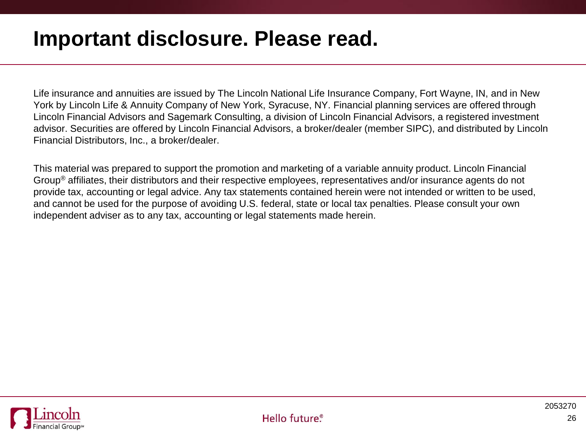#### **Important disclosure. Please read.**

Life insurance and annuities are issued by The Lincoln National Life Insurance Company, Fort Wayne, IN, and in New York by Lincoln Life & Annuity Company of New York, Syracuse, NY. Financial planning services are offered through Lincoln Financial Advisors and Sagemark Consulting, a division of Lincoln Financial Advisors, a registered investment advisor. Securities are offered by Lincoln Financial Advisors, a broker/dealer (member SIPC), and distributed by Lincoln Financial Distributors, Inc., a broker/dealer.

This material was prepared to support the promotion and marketing of a variable annuity product. Lincoln Financial Group® affiliates, their distributors and their respective employees, representatives and/or insurance agents do not provide tax, accounting or legal advice. Any tax statements contained herein were not intended or written to be used, and cannot be used for the purpose of avoiding U.S. federal, state or local tax penalties. Please consult your own independent adviser as to any tax, accounting or legal statements made herein.